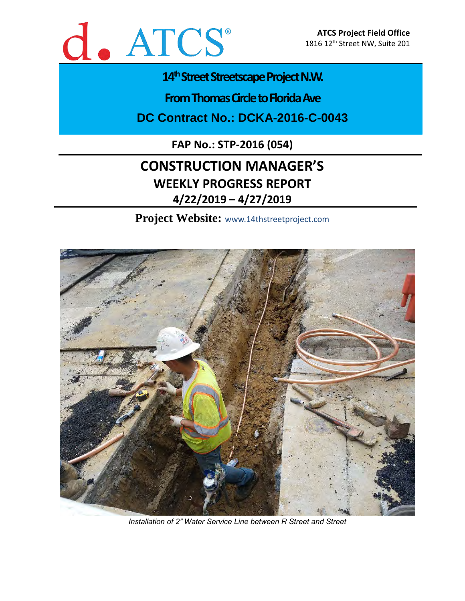

# 14<sup>th</sup> Street Streetscape Project N.W.

**From Thomas Circle to Florida Ave** 

**DC Contract No.: DCKA-2016-C-0043**

**FAP No.: STP-2016 (054)**

# **CONSTRUCTION MANAGER'S WEEKLY PROGRESS REPORT 4/22/2019 – 4/27/2019**

**Project Website:** www.14thstreetproject.com



*Installation of 2" Water Service Line between R Street and Street*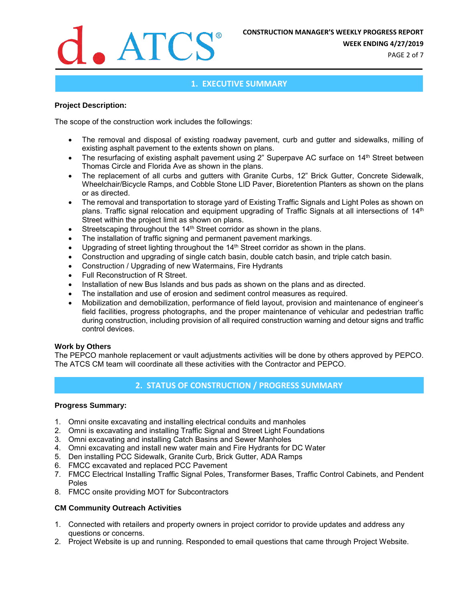

**WEEK ENDING 4/27/2019**

PAGE 2 of 7

# **1. EXECUTIVE SUMMARY**

#### **Project Description:**

The scope of the construction work includes the followings:

- The removal and disposal of existing roadway pavement, curb and gutter and sidewalks, milling of existing asphalt pavement to the extents shown on plans.
- The resurfacing of existing asphalt pavement using 2" Superpave AC surface on 14<sup>th</sup> Street between Thomas Circle and Florida Ave as shown in the plans.
- The replacement of all curbs and gutters with Granite Curbs, 12" Brick Gutter, Concrete Sidewalk, Wheelchair/Bicycle Ramps, and Cobble Stone LID Paver, Bioretention Planters as shown on the plans or as directed.
- The removal and transportation to storage yard of Existing Traffic Signals and Light Poles as shown on plans. Traffic signal relocation and equipment upgrading of Traffic Signals at all intersections of 14<sup>th</sup> Street within the project limit as shown on plans.
- Streetscaping throughout the 14<sup>th</sup> Street corridor as shown in the plans.
- The installation of traffic signing and permanent pavement markings.
- Upgrading of street lighting throughout the 14<sup>th</sup> Street corridor as shown in the plans.
- Construction and upgrading of single catch basin, double catch basin, and triple catch basin.
- Construction / Upgrading of new Watermains, Fire Hydrants
- Full Reconstruction of R Street.
- Installation of new Bus Islands and bus pads as shown on the plans and as directed.
- The installation and use of erosion and sediment control measures as required.
- Mobilization and demobilization, performance of field layout, provision and maintenance of engineer's field facilities, progress photographs, and the proper maintenance of vehicular and pedestrian traffic during construction, including provision of all required construction warning and detour signs and traffic control devices.

#### **Work by Others**

The PEPCO manhole replacement or vault adjustments activities will be done by others approved by PEPCO. The ATCS CM team will coordinate all these activities with the Contractor and PEPCO.

# **2. STATUS OF CONSTRUCTION / PROGRESS SUMMARY**

#### **Progress Summary:**

- 1. Omni onsite excavating and installing electrical conduits and manholes
- 2. Omni is excavating and installing Traffic Signal and Street Light Foundations
- 3. Omni excavating and installing Catch Basins and Sewer Manholes
- 4. Omni excavating and install new water main and Fire Hydrants for DC Water
- 5. Den installing PCC Sidewalk, Granite Curb, Brick Gutter, ADA Ramps
- 6. FMCC excavated and replaced PCC Pavement
- 7. FMCC Electrical Installing Traffic Signal Poles, Transformer Bases, Traffic Control Cabinets, and Pendent Poles
- 8. FMCC onsite providing MOT for Subcontractors

#### **CM Community Outreach Activities**

- 1. Connected with retailers and property owners in project corridor to provide updates and address any questions or concerns.
- 2. Project Website is up and running. Responded to email questions that came through Project Website.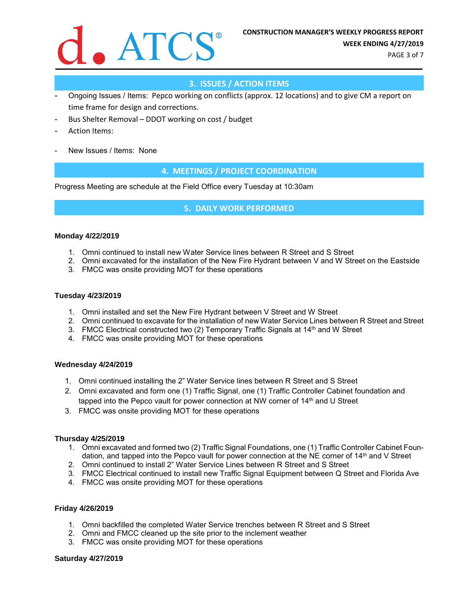

PAGE 3 of 7

# **3. ISSUES / ACTION ITEMS**

- Ongoing Issues / Items: Pepco working on conflicts (approx. 12 locations) and to give CM a report on time frame for design and corrections.
- Bus Shelter Removal DDOT working on cost / budget
- Action Items:
- New Issues / Items: None

# **4. MEETINGS / PROJECT COORDINATION**

Progress Meeting are schedule at the Field Office every Tuesday at 10:30am

## **5. DAILY WORK PERFORMED**

#### **Monday 4/22/2019**

- 1. Omni continued to install new Water Service lines between R Street and S Street
- 2. Omni excavated for the installation of the New Fire Hydrant between V and W Street on the Eastside
- 3. FMCC was onsite providing MOT for these operations

#### **Tuesday 4/23/2019**

- 1. Omni installed and set the New Fire Hydrant between V Street and W Street
- 2. Omni continued to excavate for the installation of new Water Service Lines between R Street and Street
- 3. FMCC Electrical constructed two (2) Temporary Traffic Signals at 14th and W Street
- 4. FMCC was onsite providing MOT for these operations

#### **Wednesday 4/24/2019**

- 1. Omni continued installing the 2" Water Service lines between R Street and S Street
- 2. Omni excavated and form one (1) Traffic Signal, one (1) Traffic Controller Cabinet foundation and tapped into the Pepco vault for power connection at NW corner of 14<sup>th</sup> and U Street
- 3. FMCC was onsite providing MOT for these operations

#### **Thursday 4/25/2019**

- 1. Omni excavated and formed two (2) Traffic Signal Foundations, one (1) Traffic Controller Cabinet Foundation, and tapped into the Pepco vault for power connection at the NE corner of 14th and V Street
- 2. Omni continued to install 2" Water Service Lines between R Street and S Street
- 3. FMCC Electrical continued to install new Traffic Signal Equipment between Q Street and Florida Ave
- 4. FMCC was onsite providing MOT for these operations

#### **Friday 4/26/2019**

- 1. Omni backfilled the completed Water Service trenches between R Street and S Street
- 2. Omni and FMCC cleaned up the site prior to the inclement weather
- 3. FMCC was onsite providing MOT for these operations

#### **Saturday 4/27/2019**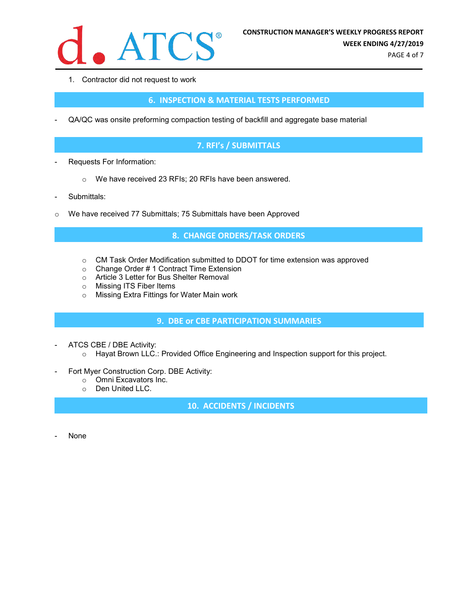

1. Contractor did not request to work

# **6. INSPECTION & MATERIAL TESTS PERFORMED**

- QA/QC was onsite preforming compaction testing of backfill and aggregate base material

# **7. RFI's / SUBMITTALS**

- Requests For Information:
	- o We have received 23 RFIs; 20 RFIs have been answered.
- Submittals:
- o We have received 77 Submittals; 75 Submittals have been Approved

## **8. CHANGE ORDERS/TASK ORDERS**

- o CM Task Order Modification submitted to DDOT for time extension was approved
- o Change Order # 1 Contract Time Extension
- o Article 3 Letter for Bus Shelter Removal
- o Missing ITS Fiber Items
- o Missing Extra Fittings for Water Main work

## **9. DBE or CBE PARTICIPATION SUMMARIES**

- ATCS CBE / DBE Activity:
	- o Hayat Brown LLC.: Provided Office Engineering and Inspection support for this project.
- Fort Myer Construction Corp. DBE Activity:
	- o Omni Excavators Inc.
	- o Den United LLC.

**10. ACCIDENTS / INCIDENTS**

None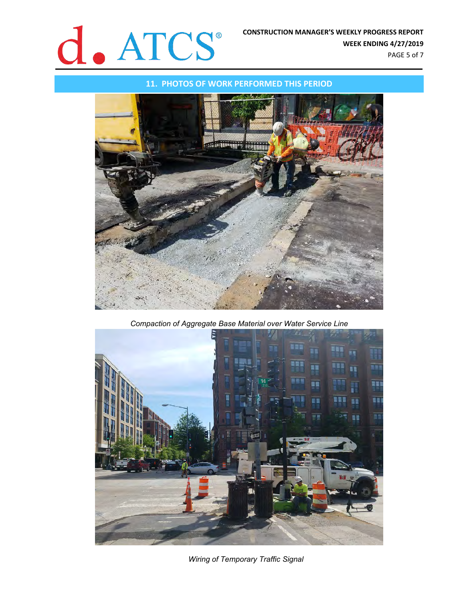

PAGE 5 of 7

#### **11. PHOTOS OF WORK PERFORMED THIS PERIOD**



*Compaction of Aggregate Base Material over Water Service Line*



*Wiring of Temporary Traffic Signal*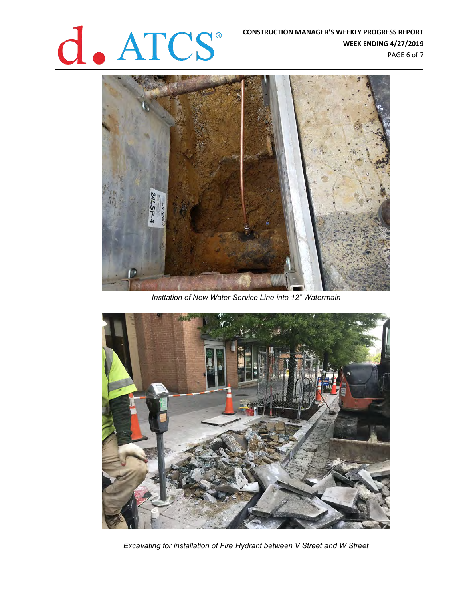# **CONSTRUCTION MANAGER'S WEEKLY PROGRESS REPORT**<br>WEEK ENDING 4/27/2019

**WEEK ENDING 4/27/2019** PAGE 6 of 7



*Insttation of New Water Service Line into 12" Watermain*



*Excavating for installation of Fire Hydrant between V Street and W Street*